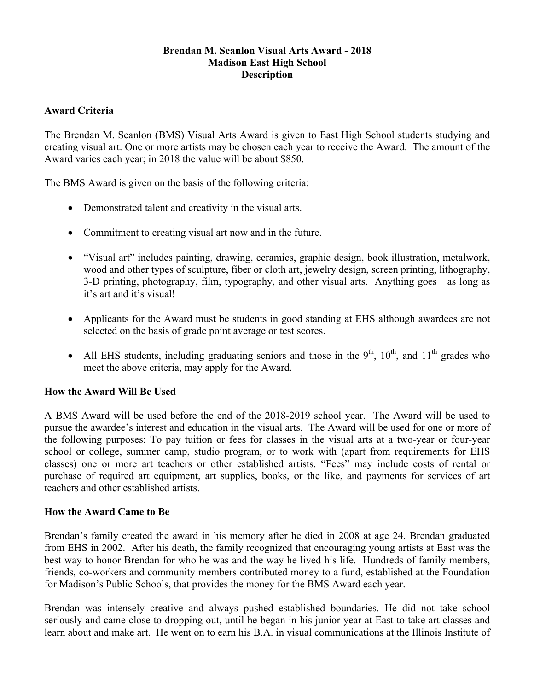#### **Brendan M. Scanlon Visual Arts Award - 2018 Madison East High School Description**

### **Award Criteria**

The Brendan M. Scanlon (BMS) Visual Arts Award is given to East High School students studying and creating visual art. One or more artists may be chosen each year to receive the Award. The amount of the Award varies each year; in 2018 the value will be about \$850.

The BMS Award is given on the basis of the following criteria:

- Demonstrated talent and creativity in the visual arts.
- Commitment to creating visual art now and in the future.
- "Visual art" includes painting, drawing, ceramics, graphic design, book illustration, metalwork, wood and other types of sculpture, fiber or cloth art, jewelry design, screen printing, lithography, 3-D printing, photography, film, typography, and other visual arts. Anything goes—as long as it's art and it's visual!
- Applicants for the Award must be students in good standing at EHS although awardees are not selected on the basis of grade point average or test scores.
- All EHS students, including graduating seniors and those in the  $9<sup>th</sup>$ ,  $10<sup>th</sup>$ , and  $11<sup>th</sup>$  grades who meet the above criteria, may apply for the Award.

# **How the Award Will Be Used**

A BMS Award will be used before the end of the 2018-2019 school year. The Award will be used to pursue the awardee's interest and education in the visual arts. The Award will be used for one or more of the following purposes: To pay tuition or fees for classes in the visual arts at a two-year or four-year school or college, summer camp, studio program, or to work with (apart from requirements for EHS classes) one or more art teachers or other established artists. "Fees" may include costs of rental or purchase of required art equipment, art supplies, books, or the like, and payments for services of art teachers and other established artists.

#### **How the Award Came to Be**

Brendan's family created the award in his memory after he died in 2008 at age 24. Brendan graduated from EHS in 2002. After his death, the family recognized that encouraging young artists at East was the best way to honor Brendan for who he was and the way he lived his life. Hundreds of family members, friends, co-workers and community members contributed money to a fund, established at the Foundation for Madison's Public Schools, that provides the money for the BMS Award each year.

Brendan was intensely creative and always pushed established boundaries. He did not take school seriously and came close to dropping out, until he began in his junior year at East to take art classes and learn about and make art. He went on to earn his B.A. in visual communications at the Illinois Institute of